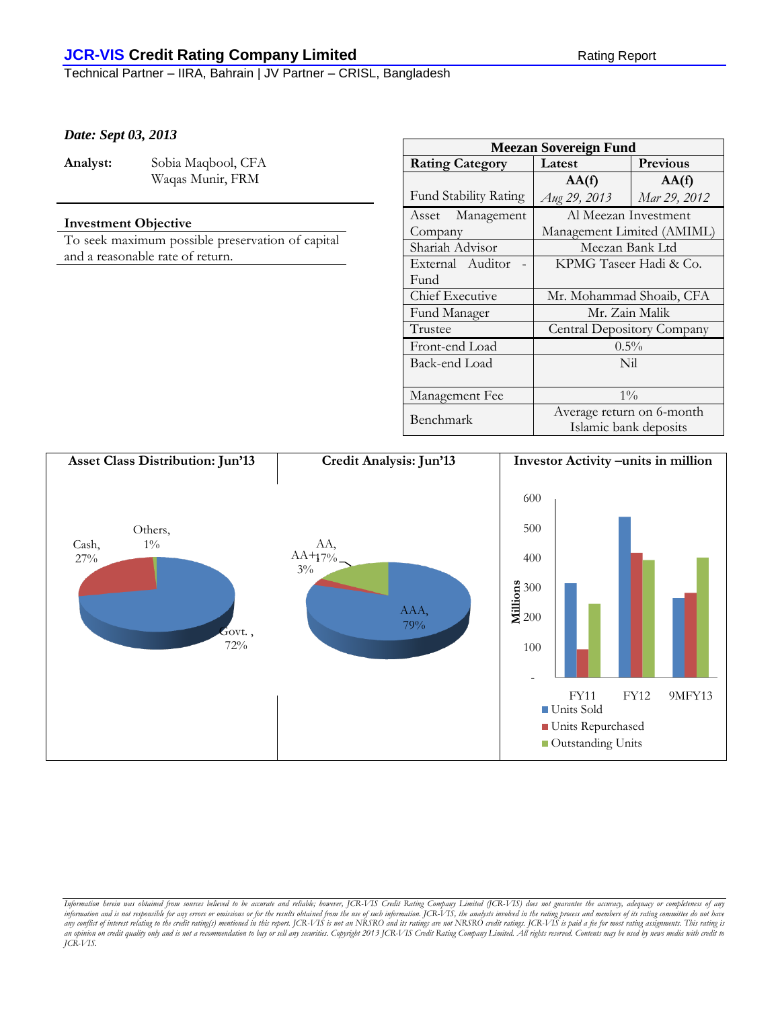## **JCR-VIS Credit Rating Company Limited** Rating Report

Technical Partner – IIRA, Bahrain | JV Partner – CRISL, Bangladesh

## *Date: Sept 03, 2013*

**Analyst:** Sobia Maqbool, CFA Waqas Munir, FRM

## **Investment Objective**

To seek maximum possible preservation of capital and a reasonable rate of return.

| <b>Meezan Sovereign Fund</b> |                            |              |  |  |
|------------------------------|----------------------------|--------------|--|--|
| <b>Rating Category</b>       | Latest                     | Previous     |  |  |
|                              | AA(f)                      | AA(f)        |  |  |
| <b>Fund Stability Rating</b> | Aug 29, 2013               | Mar 29, 2012 |  |  |
| Asset Management             | Al Meezan Investment       |              |  |  |
| Company                      | Management Limited (AMIML) |              |  |  |
| Shariah Advisor              | Meezan Bank Ltd            |              |  |  |
| External Auditor             | KPMG Taseer Hadi & Co.     |              |  |  |
| Fund                         |                            |              |  |  |
| Chief Executive              | Mr. Mohammad Shoaib, CFA   |              |  |  |
| Fund Manager                 | Mr. Zain Malik             |              |  |  |
| Trustee                      | Central Depository Company |              |  |  |
| Front-end Load               | $0.5\%$                    |              |  |  |
| Back-end Load                | Nil                        |              |  |  |
|                              |                            |              |  |  |
| Management Fee               | $1\%$                      |              |  |  |
| Benchmark                    | Average return on 6-month  |              |  |  |
|                              | Islamic bank deposits      |              |  |  |



*Information herein was obtained from sources believed to be accurate and reliable; however, JCR-VIS Credit Rating Company Limited (JCR-VIS) does not guarantee the accuracy, adequacy or completeness of any*  information and is not responsible for any errors or omissions or for the results obtained from the use of such information. JCR-VIS, the analysts involved in the rating process and members of its rating committee do not b an opinion on credit quality only and is not a recommendation to buy or sell any securities. Copyright 2013 JCR-VIS Credit Rating Company Limited. All rights reserved. Contents may be used by news media with credit to<br>JCR-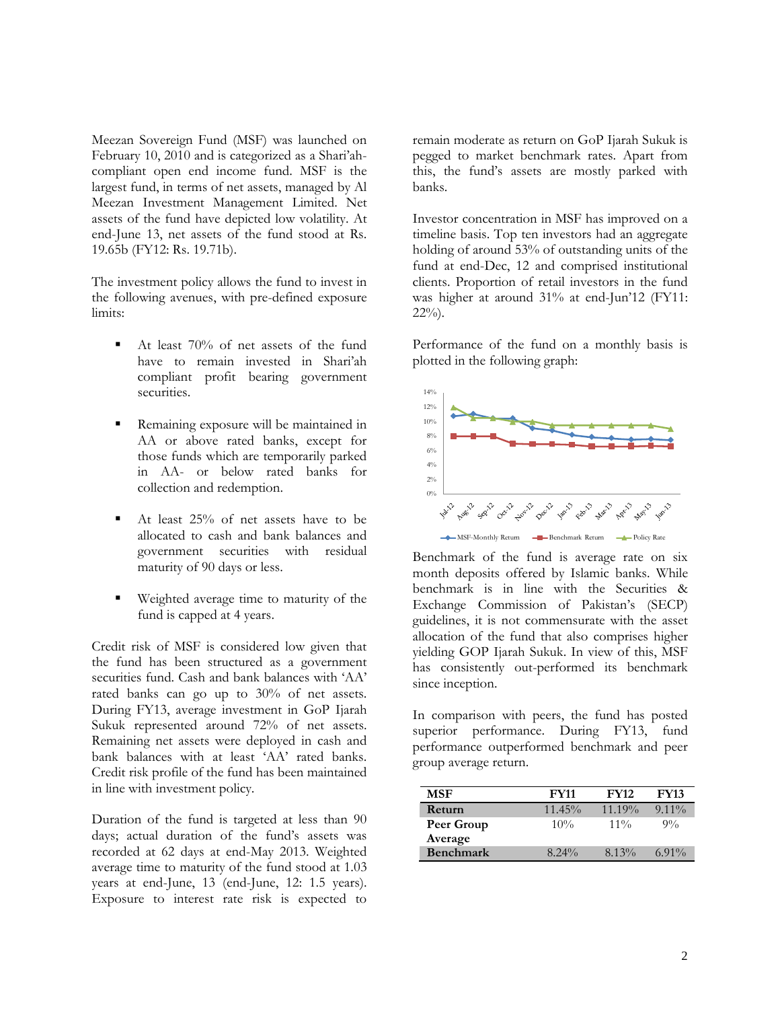Meezan Sovereign Fund (MSF) was launched on February 10, 2010 and is categorized as a Shari'ahcompliant open end income fund. MSF is the largest fund, in terms of net assets, managed by Al Meezan Investment Management Limited. Net assets of the fund have depicted low volatility. At end-June 13, net assets of the fund stood at Rs. 19.65b (FY12: Rs. 19.71b).

The investment policy allows the fund to invest in the following avenues, with pre-defined exposure limits:

- At least 70% of net assets of the fund have to remain invested in Shari'ah compliant profit bearing government securities.
- Remaining exposure will be maintained in AA or above rated banks, except for those funds which are temporarily parked in AA- or below rated banks for collection and redemption.
- At least 25% of net assets have to be allocated to cash and bank balances and government securities with residual maturity of 90 days or less.
- Weighted average time to maturity of the fund is capped at 4 years.

Credit risk of MSF is considered low given that the fund has been structured as a government securities fund. Cash and bank balances with 'AA' rated banks can go up to 30% of net assets. During FY13, average investment in GoP Ijarah Sukuk represented around 72% of net assets. Remaining net assets were deployed in cash and bank balances with at least 'AA' rated banks. Credit risk profile of the fund has been maintained in line with investment policy.

Duration of the fund is targeted at less than 90 days; actual duration of the fund's assets was recorded at 62 days at end-May 2013. Weighted average time to maturity of the fund stood at 1.03 years at end-June, 13 (end-June, 12: 1.5 years). Exposure to interest rate risk is expected to remain moderate as return on GoP Ijarah Sukuk is pegged to market benchmark rates. Apart from this, the fund's assets are mostly parked with banks.

Investor concentration in MSF has improved on a timeline basis. Top ten investors had an aggregate holding of around 53% of outstanding units of the fund at end-Dec, 12 and comprised institutional clients. Proportion of retail investors in the fund was higher at around 31% at end-Jun'12 (FY11:  $22\%)$ .

Performance of the fund on a monthly basis is plotted in the following graph:



Benchmark of the fund is average rate on six month deposits offered by Islamic banks. While benchmark is in line with the Securities & Exchange Commission of Pakistan's (SECP) guidelines, it is not commensurate with the asset allocation of the fund that also comprises higher yielding GOP Ijarah Sukuk. In view of this, MSF has consistently out-performed its benchmark since inception.

In comparison with peers, the fund has posted superior performance. During FY13, fund performance outperformed benchmark and peer group average return.

| MSF              | <b>FY11</b> | <b>FY12</b> | <b>FY13</b> |
|------------------|-------------|-------------|-------------|
| Return           | $11.45\%$   | $11.19\%$   | $9.11\%$    |
| Peer Group       | $10\%$      | $11\%$      | $9\%$       |
| Average          |             |             |             |
| <b>Benchmark</b> | $8.24\%$    | $8.13\%$    | $6.91\%$    |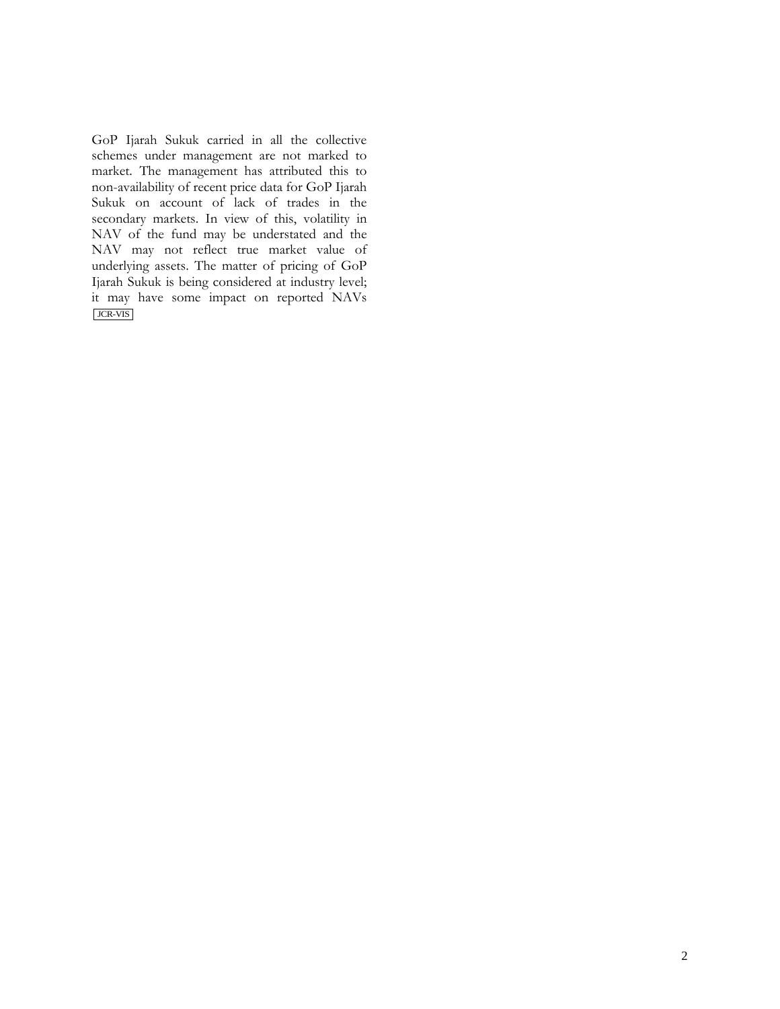GoP Ijarah Sukuk carried in all the collective schemes under management are not marked to market. The management has attributed this to non-availability of recent price data for GoP Ijarah Sukuk on account of lack of trades in the secondary markets. In view of this, volatility in NAV of the fund may be understated and the NAV may not reflect true market value of underlying assets. The matter of pricing of GoP Ijarah Sukuk is being considered at industry level; it may have some impact on reported NAVs JCR-VIS